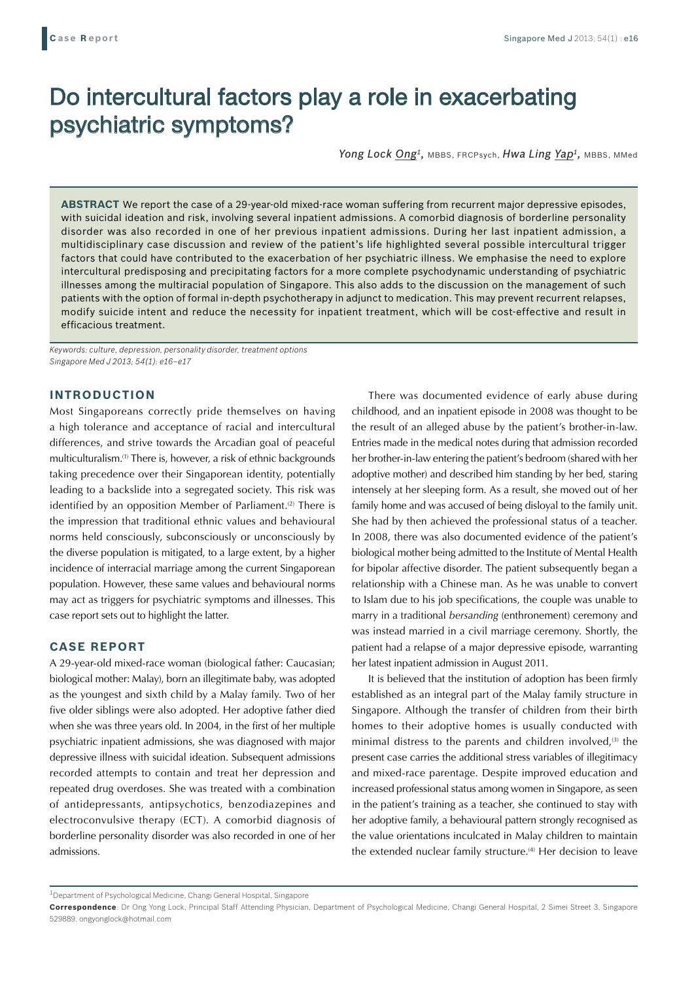# Do intercultural factors play a role in exacerbating psychiatric symptoms?

Yong Lock Ong<sup>1</sup>, MBBS, FRCPsych, *Hwa Ling Yap<sup>1</sup>*, MBBS, MMed

**ABSTRACT** We report the case of a 29-year-old mixed-race woman suffering from recurrent major depressive episodes, with suicidal ideation and risk, involving several inpatient admissions. A comorbid diagnosis of borderline personality disorder was also recorded in one of her previous inpatient admissions. During her last inpatient admission, a multidisciplinary case discussion and review of the patient's life highlighted several possible intercultural trigger factors that could have contributed to the exacerbation of her psychiatric illness. We emphasise the need to explore intercultural predisposing and precipitating factors for a more complete psychodynamic understanding of psychiatric illnesses among the multiracial population of Singapore. This also adds to the discussion on the management of such patients with the option of formal in-depth psychotherapy in adjunct to medication. This may prevent recurrent relapses, modify suicide intent and reduce the necessity for inpatient treatment, which will be cost-effective and result in efficacious treatment.

*Keywords: culture, depression, personality disorder, treatment options Singapore Med J 2013; 54(1): e16–e17*

## **INTRODUCTION**

Most Singaporeans correctly pride themselves on having a high tolerance and acceptance of racial and intercultural differences, and strive towards the Arcadian goal of peaceful multiculturalism.(1) There is, however, a risk of ethnic backgrounds taking precedence over their Singaporean identity, potentially leading to a backslide into a segregated society. This risk was identified by an opposition Member of Parliament.<sup>(2)</sup> There is the impression that traditional ethnic values and behavioural norms held consciously, subconsciously or unconsciously by the diverse population is mitigated, to a large extent, by a higher incidence of interracial marriage among the current Singaporean population. However, these same values and behavioural norms may act as triggers for psychiatric symptoms and illnesses. This case report sets out to highlight the latter.

# **CASE REPORT**

A 29-year-old mixed-race woman (biological father: Caucasian; biological mother: Malay), born an illegitimate baby, was adopted as the youngest and sixth child by a Malay family. Two of her five older siblings were also adopted. Her adoptive father died when she was three years old. In 2004, in the first of her multiple psychiatric inpatient admissions, she was diagnosed with major depressive illness with suicidal ideation. Subsequent admissions recorded attempts to contain and treat her depression and repeated drug overdoses. She was treated with a combination of antidepressants, antipsychotics, benzodiazepines and electroconvulsive therapy (ECT). A comorbid diagnosis of borderline personality disorder was also recorded in one of her admissions.

There was documented evidence of early abuse during childhood, and an inpatient episode in 2008 was thought to be the result of an alleged abuse by the patient's brother-in-law. Entries made in the medical notes during that admission recorded her brother-in-law entering the patient's bedroom (shared with her adoptive mother) and described him standing by her bed, staring intensely at her sleeping form. As a result, she moved out of her family home and was accused of being disloyal to the family unit. She had by then achieved the professional status of a teacher. In 2008, there was also documented evidence of the patient's biological mother being admitted to the Institute of Mental Health for bipolar affective disorder. The patient subsequently began a relationship with a Chinese man. As he was unable to convert to Islam due to his job specifications, the couple was unable to marry in a traditional *bersanding* (enthronement) ceremony and was instead married in a civil marriage ceremony. Shortly, the patient had a relapse of a major depressive episode, warranting her latest inpatient admission in August 2011.

It is believed that the institution of adoption has been firmly established as an integral part of the Malay family structure in Singapore. Although the transfer of children from their birth homes to their adoptive homes is usually conducted with minimal distress to the parents and children involved, $(3)$  the present case carries the additional stress variables of illegitimacy and mixed-race parentage. Despite improved education and increased professional status among women in Singapore, as seen in the patient's training as a teacher, she continued to stay with her adoptive family, a behavioural pattern strongly recognised as the value orientations inculcated in Malay children to maintain the extended nuclear family structure.<sup>(4)</sup> Her decision to leave

<sup>1</sup>Department of Psychological Medicine, Changi General Hospital, Singapore

**Correspondence**: Dr Ong Yong Lock, Principal Staff Attending Physician, Department of Psychological Medicine, Changi General Hospital, 2 Simei Street 3, Singapore 529889. ongyonglock@hotmail.com